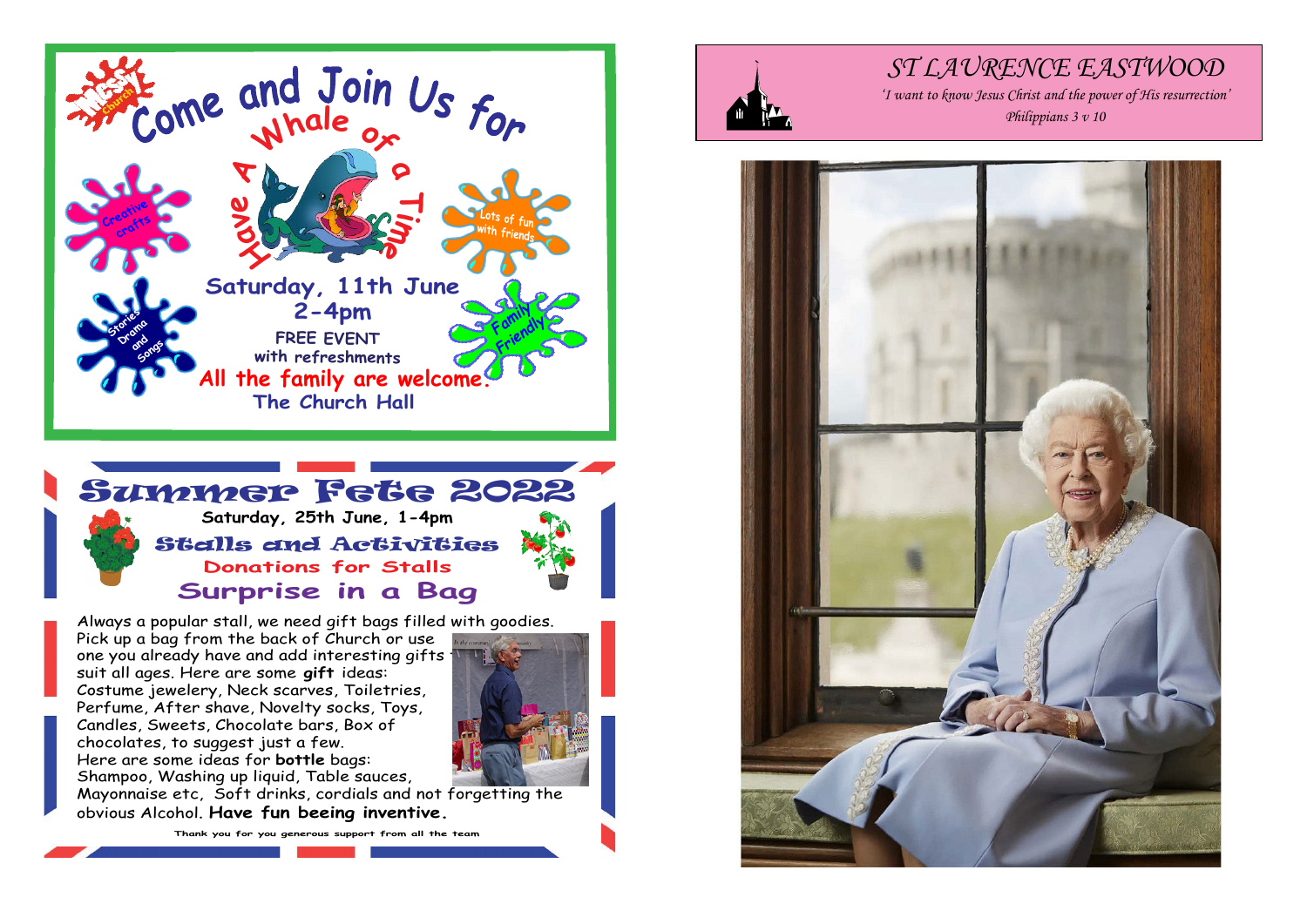



Pick up a bag from the back of Church or use one you already have and add interesting gifts suit all ages. Here are some **gift** ideas: Costume jewelery, Neck scarves, Toiletries, Perfume, After shave, Novelty socks, Toys, Candles, Sweets, Chocolate bars, Box of chocolates, to suggest just a few. Here are some ideas for **bottle** bags: Shampoo, Washing up liquid, Table sauces,



Mayonnaise etc, Soft drinks, cordials and not forgetting the obvious Alcohol. **Have fun beeing inventive.**

**Thank you for you generous support from all the team**



# *ST LAURENCE EASTWOOD*

*'I want to know Jesus Christ and the power of His resurrection' Philippians 3 v 10*